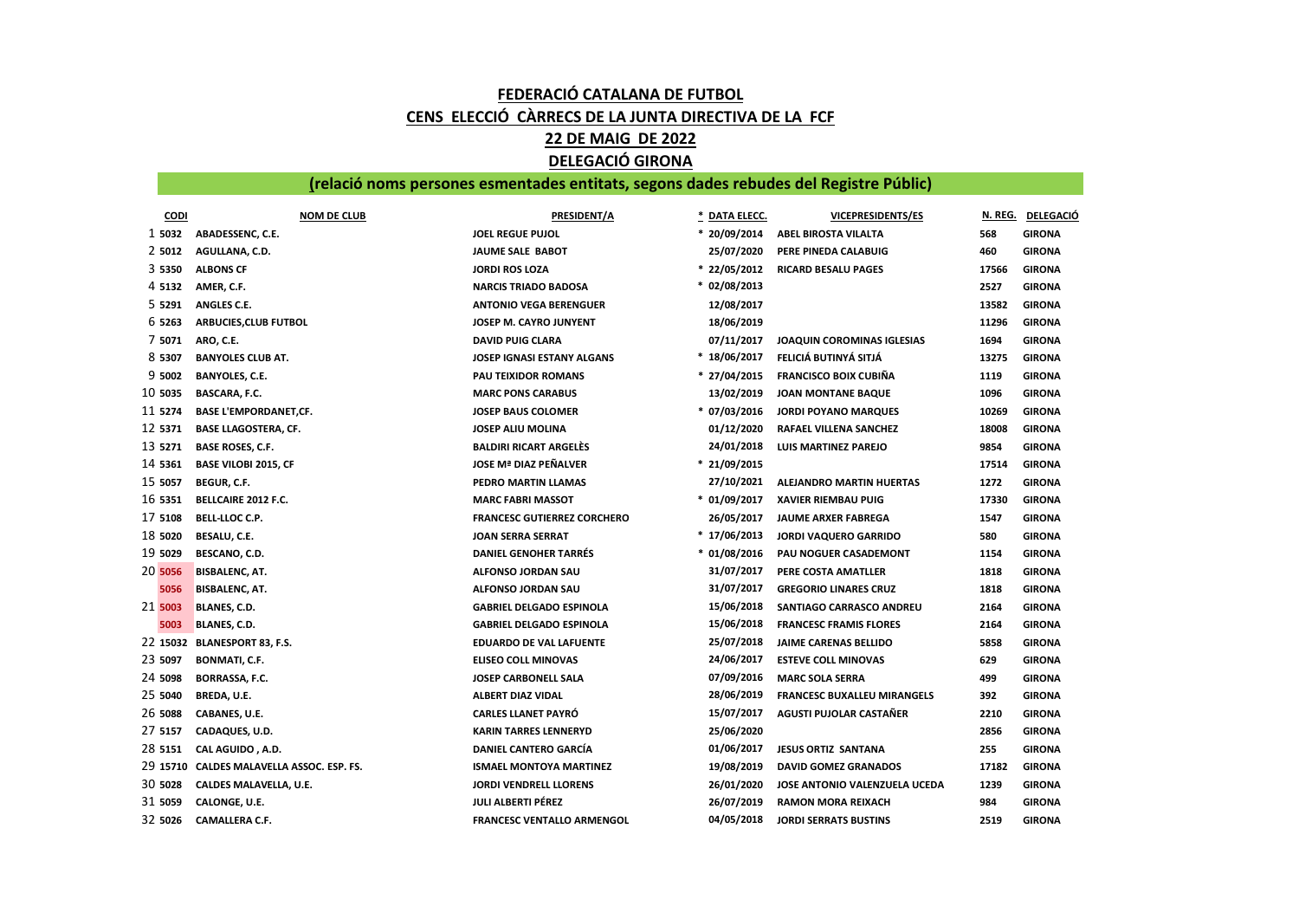## FEDERACIÓ CATALANA DE FUTBOL CENS ELECCIÓ CÀRRECS DE LA JUNTA DIRECTIVA DE LA FCF 22 DE MAIG DE 2022 DELEGACIÓ GIRONA

## (relació noms persones esmentades entitats, segons dades rebudes del Registre Públic)

| <b>CODI</b> | <b>NOM DE CLUB</b>                        | PRESIDENT/A                        | DATA ELECC.    | VICEPRESIDENTS/ES                  |       | N. REG. DELEGACIÓ |
|-------------|-------------------------------------------|------------------------------------|----------------|------------------------------------|-------|-------------------|
| 1 5032      | ABADESSENC, C.E.                          | <b>JOEL REGUE PUJOL</b>            | * 20/09/2014   | ABEL BIROSTA VILALTA               | 568   | <b>GIRONA</b>     |
| 2 5012      | AGULLANA, C.D.                            | JAUME SALE BABOT                   | 25/07/2020     | PERE PINEDA CALABUIG               | 460   | <b>GIRONA</b>     |
| 3 5350      | <b>ALBONS CF</b>                          | <b>JORDI ROS LOZA</b>              | $* 22/05/2012$ | <b>RICARD BESALU PAGES</b>         | 17566 | <b>GIRONA</b>     |
| 4 5 1 3 2   | AMER, C.F.                                | <b>NARCIS TRIADO BADOSA</b>        | $* 02/08/2013$ |                                    | 2527  | <b>GIRONA</b>     |
| 5 5291      | ANGLES C.E.                               | <b>ANTONIO VEGA BERENGUER</b>      | 12/08/2017     |                                    | 13582 | <b>GIRONA</b>     |
| 6 5263      | ARBUCIES, CLUB FUTBOL                     | JOSEP M. CAYRO JUNYENT             | 18/06/2019     |                                    | 11296 | <b>GIRONA</b>     |
| 7 5071      | ARO, C.E.                                 | <b>DAVID PUIG CLARA</b>            | 07/11/2017     | JOAQUIN COROMINAS IGLESIAS         | 1694  | <b>GIRONA</b>     |
| 8 5307      | <b>BANYOLES CLUB AT.</b>                  | JOSEP IGNASI ESTANY ALGANS         | $*18/06/2017$  | FELICIÁ BUTINYÁ SITJÁ              | 13275 | <b>GIRONA</b>     |
| 9 5002      | <b>BANYOLES, C.E.</b>                     | PAU TEIXIDOR ROMANS                | $* 27/04/2015$ | <b>FRANCISCO BOIX CUBIÑA</b>       | 1119  | <b>GIRONA</b>     |
| 10 5035     | BASCARA, F.C.                             | <b>MARC PONS CARABUS</b>           | 13/02/2019     | <b>JOAN MONTANE BAQUE</b>          | 1096  | <b>GIRONA</b>     |
| 11 5274     | <b>BASE L'EMPORDANET,CF.</b>              | <b>JOSEP BAUS COLOMER</b>          | $* 07/03/2016$ | <b>JORDI POYANO MARQUES</b>        | 10269 | <b>GIRONA</b>     |
| 12 5371     | <b>BASE LLAGOSTERA, CF.</b>               | <b>JOSEP ALIU MOLINA</b>           | 01/12/2020     | RAFAEL VILLENA SANCHEZ             | 18008 | <b>GIRONA</b>     |
| 13 5271     | <b>BASE ROSES, C.F.</b>                   | <b>BALDIRI RICART ARGELES</b>      | 24/01/2018     | LUIS MARTINEZ PAREJO               | 9854  | <b>GIRONA</b>     |
| 14 5361     | <b>BASE VILOBI 2015, CF</b>               | JOSE Mª DIAZ PEÑALVER              | $* 21/09/2015$ |                                    | 17514 | <b>GIRONA</b>     |
| 15 5057     | <b>BEGUR, C.F.</b>                        | PEDRO MARTIN LLAMAS                | 27/10/2021     | ALEJANDRO MARTIN HUERTAS           | 1272  | <b>GIRONA</b>     |
| 16 5351     | BELLCAIRE 2012 F.C.                       | <b>MARC FABRI MASSOT</b>           | $* 01/09/2017$ | <b>XAVIER RIEMBAU PUIG</b>         | 17330 | <b>GIRONA</b>     |
| 17 5108     | <b>BELL-LLOC C.P.</b>                     | <b>FRANCESC GUTIERREZ CORCHERO</b> | 26/05/2017     | <b>JAUME ARXER FABREGA</b>         | 1547  | <b>GIRONA</b>     |
| 18 5020     | BESALU, C.E.                              | <b>JOAN SERRA SERRAT</b>           | $*17/06/2013$  | <b>JORDI VAQUERO GARRIDO</b>       | 580   | <b>GIRONA</b>     |
| 19 5029     | BESCANO, C.D.                             | <b>DANIEL GENOHER TARRES</b>       | $* 01/08/2016$ | PAU NOGUER CASADEMONT              | 1154  | <b>GIRONA</b>     |
| 20 5056     | <b>BISBALENC, AT.</b>                     | ALFONSO JORDAN SAU                 | 31/07/2017     | PERE COSTA AMATLLER                | 1818  | <b>GIRONA</b>     |
| 5056        | <b>BISBALENC, AT.</b>                     | ALFONSO JORDAN SAU                 | 31/07/2017     | <b>GREGORIO LINARES CRUZ</b>       | 1818  | <b>GIRONA</b>     |
| 21 5003     | BLANES, C.D.                              | <b>GABRIEL DELGADO ESPINOLA</b>    | 15/06/2018     | SANTIAGO CARRASCO ANDREU           | 2164  | <b>GIRONA</b>     |
| 5003        | <b>BLANES, C.D.</b>                       | <b>GABRIEL DELGADO ESPINOLA</b>    | 15/06/2018     | <b>FRANCESC FRAMIS FLORES</b>      | 2164  | <b>GIRONA</b>     |
| 22 15032    | <b>BLANESPORT 83, F.S.</b>                | <b>EDUARDO DE VAL LAFUENTE</b>     | 25/07/2018     | <b>JAIME CARENAS BELLIDO</b>       | 5858  | <b>GIRONA</b>     |
| 23 5097     | <b>BONMATI, C.F.</b>                      | <b>ELISEO COLL MINOVAS</b>         | 24/06/2017     | <b>ESTEVE COLL MINOVAS</b>         | 629   | <b>GIRONA</b>     |
| 24 5098     | BORRASSA, F.C.                            | JOSEP CARBONELL SALA               | 07/09/2016     | <b>MARC SOLA SERRA</b>             | 499   | <b>GIRONA</b>     |
| 25 5040     | BREDA, U.E.                               | ALBERT DIAZ VIDAL                  | 28/06/2019     | <b>FRANCESC BUXALLEU MIRANGELS</b> | 392   | <b>GIRONA</b>     |
| 26 5088     | CABANES, U.E.                             | <b>CARLES LLANET PAYRO</b>         | 15/07/2017     | AGUSTI PUJOLAR CASTAÑER            | 2210  | <b>GIRONA</b>     |
| 27 5157     | CADAQUES, U.D.                            | <b>KARIN TARRES LENNERYD</b>       | 25/06/2020     |                                    | 2856  | <b>GIRONA</b>     |
| 28 5151     | CAL AGUIDO, A.D.                          | <b>DANIEL CANTERO GARCÍA</b>       | 01/06/2017     | <b>JESUS ORTIZ SANTANA</b>         | 255   | <b>GIRONA</b>     |
|             | 29 15710 CALDES MALAVELLA ASSOC. ESP. FS. | <b>ISMAEL MONTOYA MARTINEZ</b>     | 19/08/2019     | <b>DAVID GOMEZ GRANADOS</b>        | 17182 | <b>GIRONA</b>     |
| 30 5028     | CALDES MALAVELLA, U.E.                    | <b>JORDI VENDRELL LLORENS</b>      | 26/01/2020     | JOSE ANTONIO VALENZUELA UCEDA      | 1239  | <b>GIRONA</b>     |
| 31 5059     | CALONGE, U.E.                             | <b>JULI ALBERTI PÉREZ</b>          | 26/07/2019     | <b>RAMON MORA REIXACH</b>          | 984   | <b>GIRONA</b>     |
| 32 5026     | CAMALLERA C.F.                            | <b>FRANCESC VENTALLO ARMENGOL</b>  | 04/05/2018     | <b>JORDI SERRATS BUSTINS</b>       | 2519  | <b>GIRONA</b>     |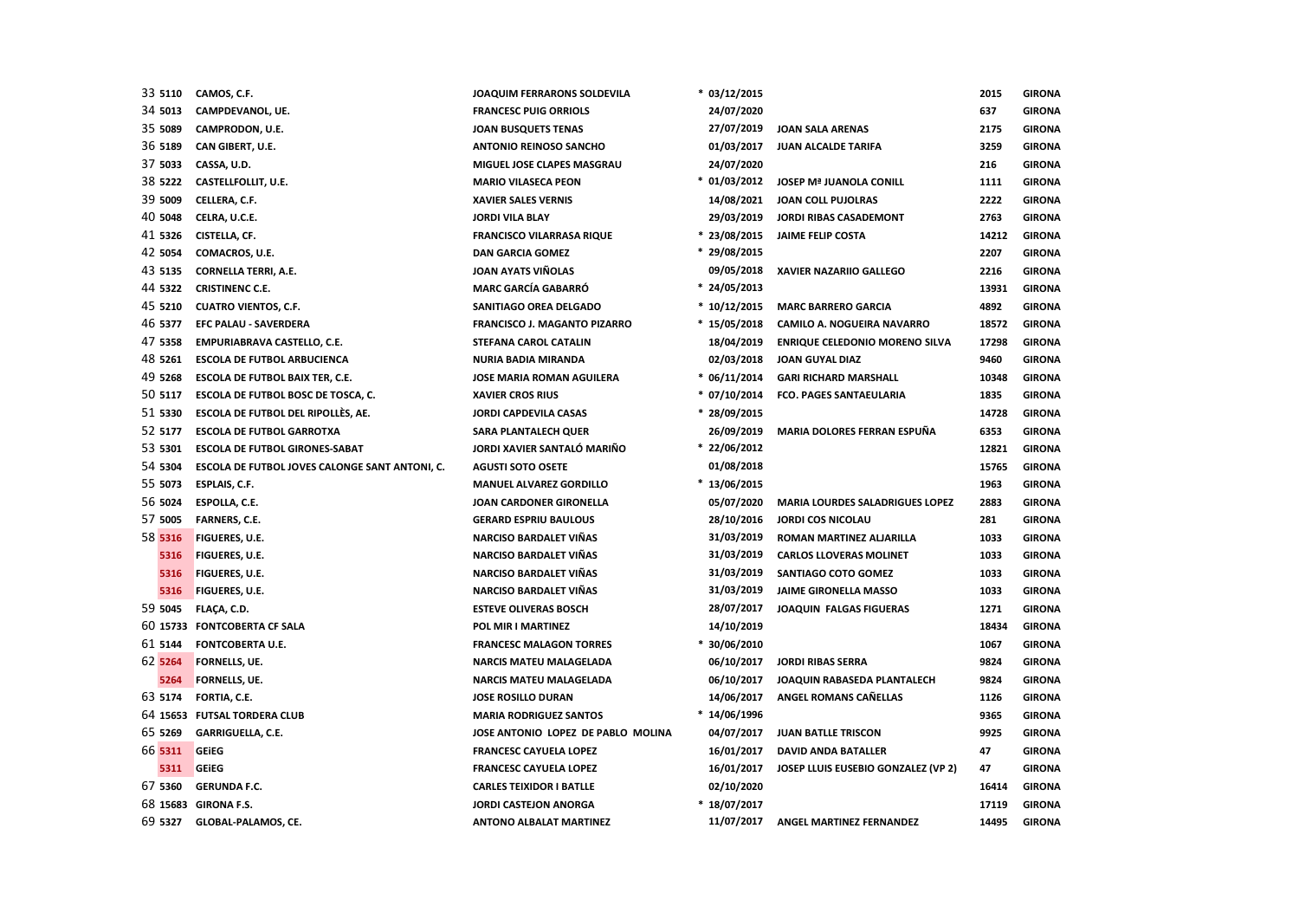| 33 5110 | CAMOS, C.F.                                    | JOAQUIM FERRARONS SOLDEVILA         | $* 03/12/2015$ |                                       | 2015  | <b>GIRONA</b> |
|---------|------------------------------------------------|-------------------------------------|----------------|---------------------------------------|-------|---------------|
| 34 5013 | CAMPDEVANOL, UE.                               | <b>FRANCESC PUIG ORRIOLS</b>        | 24/07/2020     |                                       | 637   | <b>GIRONA</b> |
| 35 5089 | CAMPRODON, U.E.                                | <b>JOAN BUSQUETS TENAS</b>          | 27/07/2019     | <b>JOAN SALA ARENAS</b>               | 2175  | <b>GIRONA</b> |
| 36 5189 | CAN GIBERT, U.E.                               | <b>ANTONIO REINOSO SANCHO</b>       | 01/03/2017     | JUAN ALCALDE TARIFA                   | 3259  | <b>GIRONA</b> |
| 37 5033 | CASSA, U.D.                                    | MIGUEL JOSE CLAPES MASGRAU          | 24/07/2020     |                                       | 216   | <b>GIRONA</b> |
| 38 5222 | CASTELLFOLLIT, U.E.                            | <b>MARIO VILASECA PEON</b>          | $*$ 01/03/2012 | <b>JOSEP Mª JUANOLA CONILL</b>        | 1111  | <b>GIRONA</b> |
| 39 5009 | CELLERA, C.F.                                  | <b>XAVIER SALES VERNIS</b>          | 14/08/2021     | JOAN COLL PUJOLRAS                    | 2222  | <b>GIRONA</b> |
| 40 5048 | CELRA, U.C.E.                                  | <b>JORDI VILA BLAY</b>              | 29/03/2019     | JORDI RIBAS CASADEMONT                | 2763  | <b>GIRONA</b> |
| 41 5326 | CISTELLA, CF.                                  | <b>FRANCISCO VILARRASA RIQUE</b>    | $* 23/08/2015$ | <b>JAIME FELIP COSTA</b>              | 14212 | <b>GIRONA</b> |
| 42 5054 | COMACROS, U.E.                                 | <b>DAN GARCIA GOMEZ</b>             | * 29/08/2015   |                                       | 2207  | <b>GIRONA</b> |
| 43 5135 | <b>CORNELLA TERRI, A.E.</b>                    | <b>JOAN AYATS VIÑOLAS</b>           | 09/05/2018     | <b>XAVIER NAZARIIO GALLEGO</b>        | 2216  | <b>GIRONA</b> |
| 44 5322 | <b>CRISTINENC C.E.</b>                         | <b>MARC GARCÍA GABARRÓ</b>          | $* 24/05/2013$ |                                       | 13931 | <b>GIRONA</b> |
| 45 5210 | <b>CUATRO VIENTOS, C.F.</b>                    | SANITIAGO OREA DELGADO              | $*10/12/2015$  | <b>MARC BARRERO GARCIA</b>            | 4892  | <b>GIRONA</b> |
| 46 5377 | <b>EFC PALAU - SAVERDERA</b>                   | <b>FRANCISCO J. MAGANTO PIZARRO</b> | $*15/05/2018$  | CAMILO A. NOGUEIRA NAVARRO            | 18572 | <b>GIRONA</b> |
| 47 5358 | EMPURIABRAVA CASTELLO, C.E.                    | STEFANA CAROL CATALIN               | 18/04/2019     | <b>ENRIQUE CELEDONIO MORENO SILVA</b> | 17298 | <b>GIRONA</b> |
| 48 5261 | <b>ESCOLA DE FUTBOL ARBUCIENCA</b>             | <b>NURIA BADIA MIRANDA</b>          | 02/03/2018     | JOAN GUYAL DIAZ                       | 9460  | <b>GIRONA</b> |
| 49 5268 | <b>ESCOLA DE FUTBOL BAIX TER, C.E.</b>         | JOSE MARIA ROMAN AGUILERA           | $* 06/11/2014$ | <b>GARI RICHARD MARSHALL</b>          | 10348 | <b>GIRONA</b> |
| 50 5117 | ESCOLA DE FUTBOL BOSC DE TOSCA, C.             | <b>XAVIER CROS RIUS</b>             | $* 07/10/2014$ | <b>FCO. PAGES SANTAEULARIA</b>        | 1835  | <b>GIRONA</b> |
| 51 5330 | ESCOLA DE FUTBOL DEL RIPOLLÈS, AE.             | JORDI CAPDEVILA CASAS               | $* 28/09/2015$ |                                       | 14728 | <b>GIRONA</b> |
| 52 5177 | <b>ESCOLA DE FUTBOL GARROTXA</b>               | <b>SARA PLANTALECH QUER</b>         | 26/09/2019     | MARIA DOLORES FERRAN ESPUÑA           | 6353  | <b>GIRONA</b> |
| 53 5301 | <b>ESCOLA DE FUTBOL GIRONES-SABAT</b>          | JORDI XAVIER SANTALÓ MARIÑO         | $* 22/06/2012$ |                                       | 12821 | <b>GIRONA</b> |
| 54 5304 | ESCOLA DE FUTBOL JOVES CALONGE SANT ANTONI, C. | <b>AGUSTI SOTO OSETE</b>            | 01/08/2018     |                                       | 15765 | <b>GIRONA</b> |
| 55 5073 | ESPLAIS, C.F.                                  | <b>MANUEL ALVAREZ GORDILLO</b>      | $*13/06/2015$  |                                       | 1963  | <b>GIRONA</b> |
| 56 5024 | ESPOLLA, C.E.                                  | JOAN CARDONER GIRONELLA             | 05/07/2020     | MARIA LOURDES SALADRIGUES LOPEZ       | 2883  | <b>GIRONA</b> |
| 57 5005 | FARNERS, C.E.                                  | <b>GERARD ESPRIU BAULOUS</b>        | 28/10/2016     | <b>JORDI COS NICOLAU</b>              | 281   | <b>GIRONA</b> |
| 58 5316 | FIGUERES, U.E.                                 | <b>NARCISO BARDALET VIÑAS</b>       | 31/03/2019     | ROMAN MARTINEZ ALJARILLA              | 1033  | <b>GIRONA</b> |
| 5316    | FIGUERES, U.E.                                 | NARCISO BARDALET VIÑAS              | 31/03/2019     | <b>CARLOS LLOVERAS MOLINET</b>        | 1033  | <b>GIRONA</b> |
| 5316    | FIGUERES, U.E.                                 | NARCISO BARDALET VIÑAS              | 31/03/2019     | SANTIAGO COTO GOMEZ                   | 1033  | <b>GIRONA</b> |
| 5316    | <b>FIGUERES, U.E.</b>                          | NARCISO BARDALET VIÑAS              | 31/03/2019     | JAIME GIRONELLA MASSO                 | 1033  | <b>GIRONA</b> |
| 59 5045 | FLAÇA, C.D.                                    | <b>ESTEVE OLIVERAS BOSCH</b>        | 28/07/2017     | JOAQUIN FALGAS FIGUERAS               | 1271  | <b>GIRONA</b> |
|         | 60 15733 FONTCOBERTA CF SALA                   | POL MIR I MARTINEZ                  | 14/10/2019     |                                       | 18434 | <b>GIRONA</b> |
| 61 5144 | <b>FONTCOBERTA U.E.</b>                        | <b>FRANCESC MALAGON TORRES</b>      | $* 30/06/2010$ |                                       | 1067  | <b>GIRONA</b> |
| 62 5264 | FORNELLS, UE.                                  | <b>NARCIS MATEU MALAGELADA</b>      | 06/10/2017     | <b>JORDI RIBAS SERRA</b>              | 9824  | <b>GIRONA</b> |
| 5264    | FORNELLS, UE.                                  | <b>NARCIS MATEU MALAGELADA</b>      | 06/10/2017     | JOAQUIN RABASEDA PLANTALECH           | 9824  | <b>GIRONA</b> |
| 63 5174 | FORTIA, C.E.                                   | <b>JOSE ROSILLO DURAN</b>           | 14/06/2017     | ANGEL ROMANS CAÑELLAS                 | 1126  | <b>GIRONA</b> |
|         | 64 15653 FUTSAL TORDERA CLUB                   | <b>MARIA RODRIGUEZ SANTOS</b>       | $* 14/06/1996$ |                                       | 9365  | <b>GIRONA</b> |
| 65 5269 | <b>GARRIGUELLA, C.E.</b>                       | JOSE ANTONIO LOPEZ DE PABLO MOLINA  | 04/07/2017     | <b>JUAN BATLLE TRISCON</b>            | 9925  | <b>GIRONA</b> |
| 66 5311 | <b>GEIEG</b>                                   | <b>FRANCESC CAYUELA LOPEZ</b>       | 16/01/2017     | <b>DAVID ANDA BATALLER</b>            | 47    | <b>GIRONA</b> |
| 5311    | <b>GEIEG</b>                                   | <b>FRANCESC CAYUELA LOPEZ</b>       | 16/01/2017     | JOSEP LLUIS EUSEBIO GONZALEZ (VP 2)   | 47    | <b>GIRONA</b> |
| 67 5360 | <b>GERUNDA F.C.</b>                            | <b>CARLES TEIXIDOR I BATLLE</b>     | 02/10/2020     |                                       | 16414 | <b>GIRONA</b> |
|         | 68 15683 GIRONA F.S.                           | <b>JORDI CASTEJON ANORGA</b>        | * 18/07/2017   |                                       | 17119 | <b>GIRONA</b> |
| 69 5327 | GLOBAL-PALAMOS, CE.                            | <b>ANTONO ALBALAT MARTINEZ</b>      | 11/07/2017     | ANGEL MARTINEZ FERNANDEZ              | 14495 | <b>GIRONA</b> |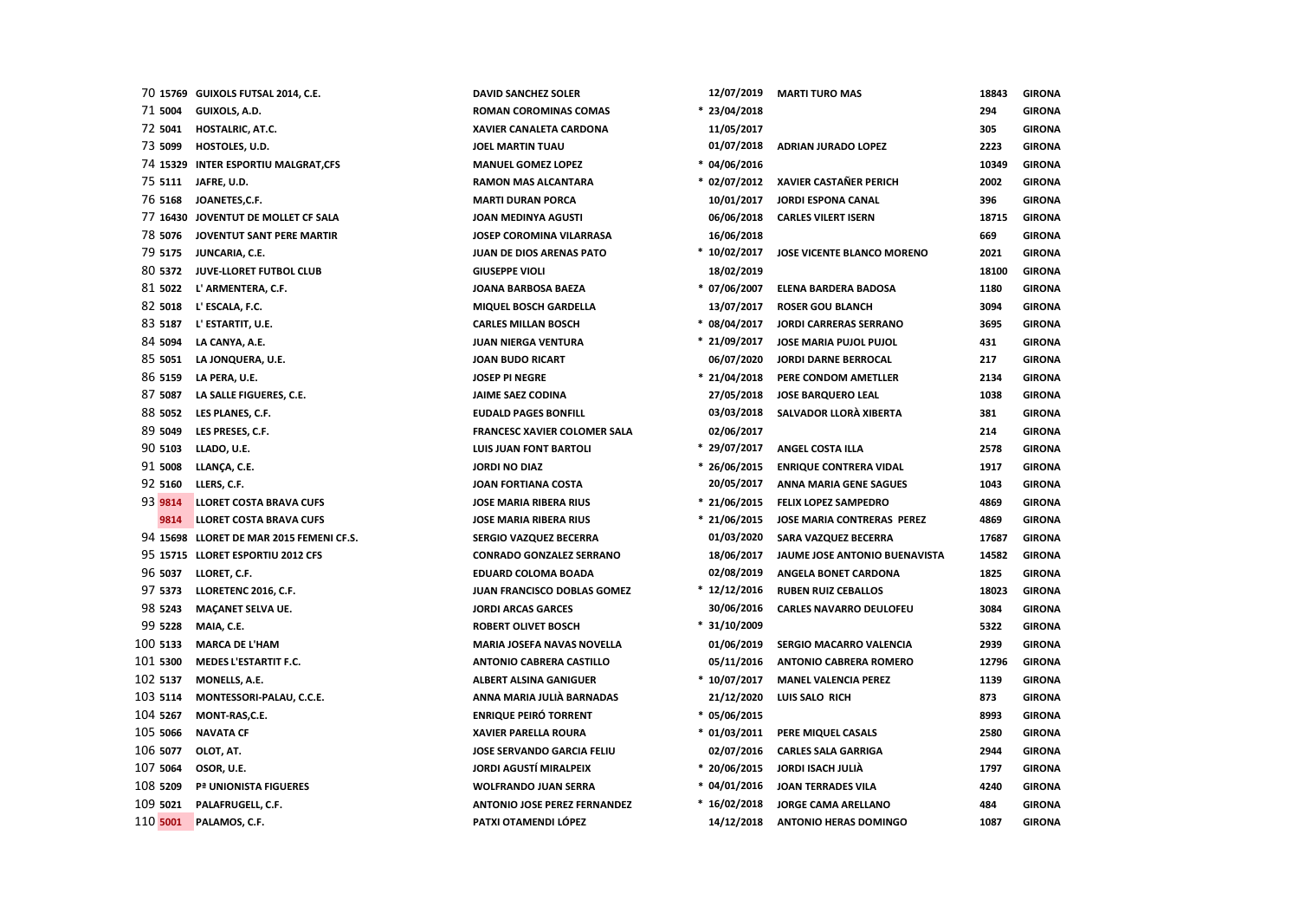|          | 70 15769 GUIXOLS FUTSAL 2014, C.E.       | <b>DAVID SANCHEZ SOLER</b>          | 12/07/2019     | <b>MARTI TURO MAS</b>          | 18843 | <b>GIRONA</b> |
|----------|------------------------------------------|-------------------------------------|----------------|--------------------------------|-------|---------------|
| 71 5004  | GUIXOLS, A.D.                            | <b>ROMAN COROMINAS COMAS</b>        | $* 23/04/2018$ |                                | 294   | <b>GIRONA</b> |
| 72 5041  | HOSTALRIC, AT.C.                         | XAVIER CANALETA CARDONA             | 11/05/2017     |                                | 305   | <b>GIRONA</b> |
| 73 5099  | HOSTOLES, U.D.                           | <b>JOEL MARTIN TUAU</b>             | 01/07/2018     | <b>ADRIAN JURADO LOPEZ</b>     | 2223  | <b>GIRONA</b> |
|          | 74 15329 INTER ESPORTIU MALGRAT, CFS     | <b>MANUEL GOMEZ LOPEZ</b>           | $* 04/06/2016$ |                                | 10349 | <b>GIRONA</b> |
|          | 75 5111 JAFRE, U.D.                      | <b>RAMON MAS ALCANTARA</b>          | * 02/07/2012   | <b>XAVIER CASTAÑER PERICH</b>  | 2002  | <b>GIRONA</b> |
| 76 5168  | JOANETES,C.F.                            | <b>MARTI DURAN PORCA</b>            | 10/01/2017     | <b>JORDI ESPONA CANAL</b>      | 396   | <b>GIRONA</b> |
|          | 77 16430 JOVENTUT DE MOLLET CF SALA      | JOAN MEDINYA AGUSTI                 | 06/06/2018     | <b>CARLES VILERT ISERN</b>     | 18715 | <b>GIRONA</b> |
| 78 5076  | JOVENTUT SANT PERE MARTIR                | JOSEP COROMINA VILARRASA            | 16/06/2018     |                                | 669   | <b>GIRONA</b> |
| 79 5175  | JUNCARIA, C.E.                           | JUAN DE DIOS ARENAS PATO            | $*10/02/2017$  | JOSE VICENTE BLANCO MORENO     | 2021  | <b>GIRONA</b> |
| 80 5372  | JUVE-LLORET FUTBOL CLUB                  | <b>GIUSEPPE VIOLI</b>               | 18/02/2019     |                                | 18100 | <b>GIRONA</b> |
| 81 5022  | L' ARMENTERA, C.F.                       | JOANA BARBOSA BAEZA                 | $* 07/06/2007$ | <b>ELENA BARDERA BADOSA</b>    | 1180  | <b>GIRONA</b> |
| 82 5018  | L' ESCALA, F.C.                          | MIQUEL BOSCH GARDELLA               | 13/07/2017     | <b>ROSER GOU BLANCH</b>        | 3094  | <b>GIRONA</b> |
| 83 5187  | L' ESTARTIT, U.E.                        | <b>CARLES MILLAN BOSCH</b>          | $* 08/04/2017$ | <b>JORDI CARRERAS SERRANO</b>  | 3695  | <b>GIRONA</b> |
| 84 5094  | LA CANYA, A.E.                           | <b>JUAN NIERGA VENTURA</b>          | $* 21/09/2017$ | JOSE MARIA PUJOL PUJOL         | 431   | <b>GIRONA</b> |
| 85 5051  | LA JONQUERA, U.E.                        | <b>JOAN BUDO RICART</b>             | 06/07/2020     | <b>JORDI DARNE BERROCAL</b>    | 217   | <b>GIRONA</b> |
| 86 5159  | LA PERA, U.E.                            | <b>JOSEP PI NEGRE</b>               | $* 21/04/2018$ | PERE CONDOM AMETLLER           | 2134  | <b>GIRONA</b> |
| 87 5087  | LA SALLE FIGUERES, C.E.                  | <b>JAIME SAEZ CODINA</b>            | 27/05/2018     | <b>JOSE BARQUERO LEAL</b>      | 1038  | <b>GIRONA</b> |
| 88 5052  | LES PLANES, C.F.                         | <b>EUDALD PAGES BONFILL</b>         | 03/03/2018     | SALVADOR LLORÀ XIBERTA         | 381   | <b>GIRONA</b> |
| 89 5049  | LES PRESES, C.F.                         | <b>FRANCESC XAVIER COLOMER SALA</b> | 02/06/2017     |                                | 214   | <b>GIRONA</b> |
| 90 5103  | LLADO, U.E.                              | <b>LUIS JUAN FONT BARTOLI</b>       | * 29/07/2017   | <b>ANGEL COSTA ILLA</b>        | 2578  | <b>GIRONA</b> |
| 91 5008  | LLANÇA, C.E.                             | <b>JORDI NO DIAZ</b>                | $* 26/06/2015$ | <b>ENRIQUE CONTRERA VIDAL</b>  | 1917  | <b>GIRONA</b> |
| 92 5160  | LLERS, C.F.                              | <b>JOAN FORTIANA COSTA</b>          | 20/05/2017     | <b>ANNA MARIA GENE SAGUES</b>  | 1043  | <b>GIRONA</b> |
| 93 9814  | <b>LLORET COSTA BRAVA CUFS</b>           | <b>JOSE MARIA RIBERA RIUS</b>       | $* 21/06/2015$ | <b>FELIX LOPEZ SAMPEDRO</b>    | 4869  | <b>GIRONA</b> |
| 9814     | <b>LLORET COSTA BRAVA CUFS</b>           | <b>JOSE MARIA RIBERA RIUS</b>       | $* 21/06/2015$ | JOSE MARIA CONTRERAS PEREZ     | 4869  | <b>GIRONA</b> |
|          | 94 15698 LLORET DE MAR 2015 FEMENI CF.S. | SERGIO VAZQUEZ BECERRA              | 01/03/2020     | SARA VAZQUEZ BECERRA           | 17687 | <b>GIRONA</b> |
|          | 95 15715 LLORET ESPORTIU 2012 CFS        | <b>CONRADO GONZALEZ SERRANO</b>     | 18/06/2017     | JAUME JOSE ANTONIO BUENAVISTA  | 14582 | <b>GIRONA</b> |
| 96 5037  | LLORET, C.F.                             | <b>EDUARD COLOMA BOADA</b>          | 02/08/2019     | ANGELA BONET CARDONA           | 1825  | <b>GIRONA</b> |
| 97 5373  | LLORETENC 2016, C.F.                     | JUAN FRANCISCO DOBLAS GOMEZ         | $* 12/12/2016$ | <b>RUBEN RUIZ CEBALLOS</b>     | 18023 | <b>GIRONA</b> |
| 98 5243  | <b>MAÇANET SELVA UE.</b>                 | <b>JORDI ARCAS GARCES</b>           | 30/06/2016     | <b>CARLES NAVARRO DEULOFEU</b> | 3084  | <b>GIRONA</b> |
| 99 5228  | MAIA, C.E.                               | <b>ROBERT OLIVET BOSCH</b>          | $* 31/10/2009$ |                                | 5322  | <b>GIRONA</b> |
| 100 5133 | <b>MARCA DE L'HAM</b>                    | <b>MARIA JOSEFA NAVAS NOVELLA</b>   | 01/06/2019     | SERGIO MACARRO VALENCIA        | 2939  | <b>GIRONA</b> |
| 101 5300 | <b>MEDES L'ESTARTIT F.C.</b>             | <b>ANTONIO CABRERA CASTILLO</b>     | 05/11/2016     | <b>ANTONIO CABRERA ROMERO</b>  | 12796 | <b>GIRONA</b> |
| 102 5137 | MONELLS, A.E.                            | <b>ALBERT ALSINA GANIGUER</b>       | $*10/07/2017$  | <b>MANEL VALENCIA PEREZ</b>    | 1139  | <b>GIRONA</b> |
| 103 5114 | MONTESSORI-PALAU, C.C.E.                 | ANNA MARIA JULIÀ BARNADAS           | 21/12/2020     | LUIS SALO RICH                 | 873   | <b>GIRONA</b> |
| 104 5267 | MONT-RAS,C.E.                            | <b>ENRIQUE PEIRÓ TORRENT</b>        | $* 05/06/2015$ |                                | 8993  | <b>GIRONA</b> |
| 105 5066 | <b>NAVATA CF</b>                         | <b>XAVIER PARELLA ROURA</b>         | $* 01/03/2011$ | PERE MIQUEL CASALS             | 2580  | <b>GIRONA</b> |
| 106 5077 | OLOT, AT.                                | JOSE SERVANDO GARCIA FELIU          | 02/07/2016     | <b>CARLES SALA GARRIGA</b>     | 2944  | <b>GIRONA</b> |
| 107 5064 | OSOR, U.E.                               | <b>JORDI AGUSTÍ MIRALPEIX</b>       | $* 20/06/2015$ | JORDI ISACH JULIÀ              | 1797  | <b>GIRONA</b> |
| 108 5209 | Pª UNIONISTA FIGUERES                    | <b>WOLFRANDO JUAN SERRA</b>         | $* 04/01/2016$ | <b>JOAN TERRADES VILA</b>      | 4240  | <b>GIRONA</b> |
| 109 5021 | PALAFRUGELL, C.F.                        | <b>ANTONIO JOSE PEREZ FERNANDEZ</b> | $*16/02/2018$  | <b>JORGE CAMA ARELLANO</b>     | 484   | <b>GIRONA</b> |
| 110 5001 | PALAMOS, C.F.                            | PATXI OTAMENDI LÓPEZ                | 14/12/2018     | <b>ANTONIO HERAS DOMINGO</b>   | 1087  | <b>GIRONA</b> |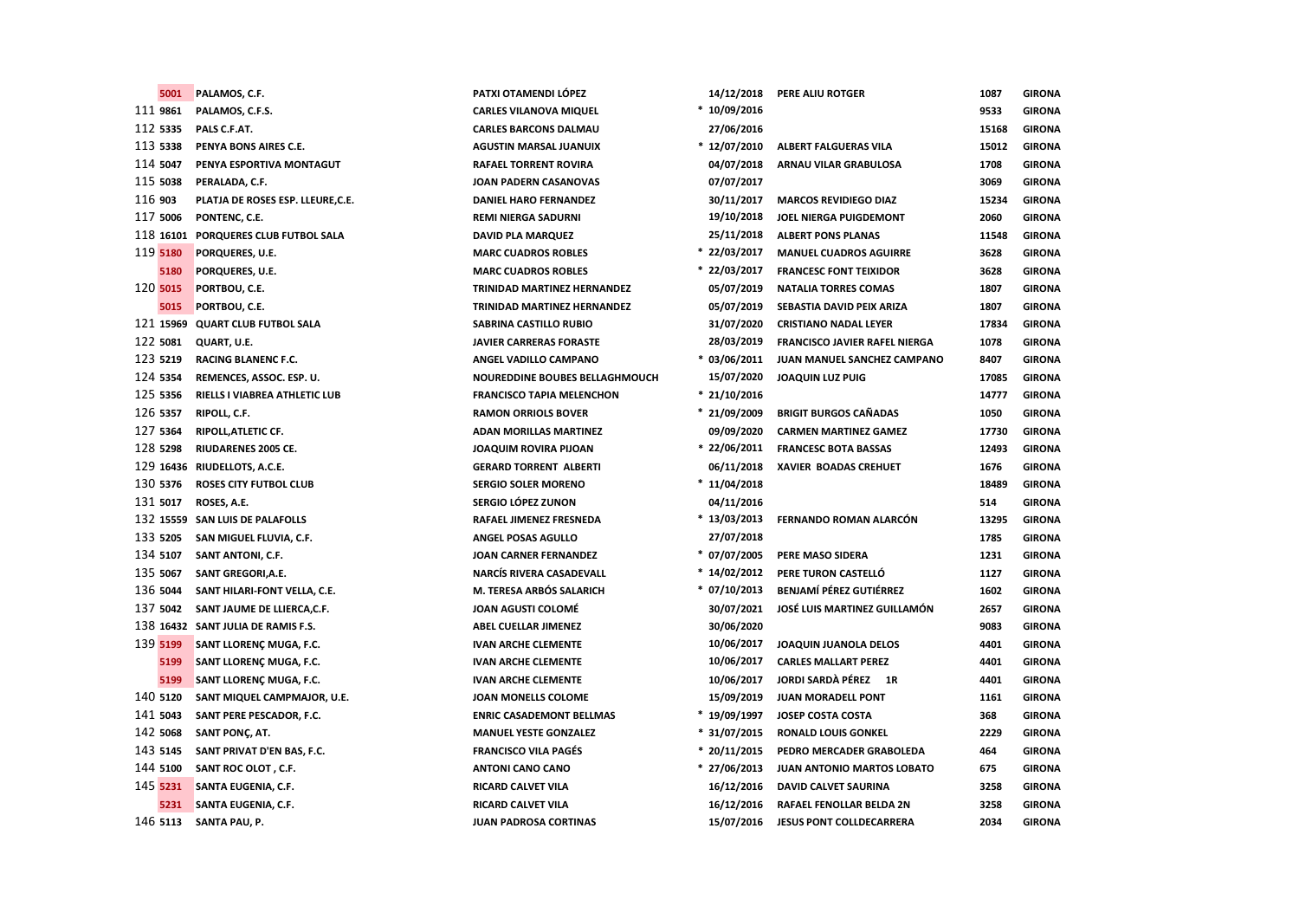| 5001     | PALAMOS, C.F.                        | PATXI OTAMENDI LÓPEZ             | 14/12/2018     | PERE ALIU ROTGER                     | 1087  | <b>GIRONA</b> |
|----------|--------------------------------------|----------------------------------|----------------|--------------------------------------|-------|---------------|
| 111 9861 | PALAMOS, C.F.S.                      | <b>CARLES VILANOVA MIQUEL</b>    | $*10/09/2016$  |                                      | 9533  | <b>GIRONA</b> |
| 112 5335 | PALS C.F.AT.                         | <b>CARLES BARCONS DALMAU</b>     | 27/06/2016     |                                      | 15168 | <b>GIRONA</b> |
| 113 5338 | PENYA BONS AIRES C.E.                | <b>AGUSTIN MARSAL JUANUIX</b>    | $* 12/07/2010$ | <b>ALBERT FALGUERAS VILA</b>         | 15012 | <b>GIRONA</b> |
| 114 5047 | PENYA ESPORTIVA MONTAGUT             | <b>RAFAEL TORRENT ROVIRA</b>     | 04/07/2018     | ARNAU VILAR GRABULOSA                | 1708  | <b>GIRONA</b> |
| 115 5038 | PERALADA, C.F.                       | JOAN PADERN CASANOVAS            | 07/07/2017     |                                      | 3069  | <b>GIRONA</b> |
| 116 903  | PLATJA DE ROSES ESP. LLEURE, C.E.    | <b>DANIEL HARO FERNANDEZ</b>     | 30/11/2017     | <b>MARCOS REVIDIEGO DIAZ</b>         | 15234 | <b>GIRONA</b> |
| 117 5006 | PONTENC, C.E.                        |                                  | 19/10/2018     |                                      | 2060  | <b>GIRONA</b> |
|          |                                      | <b>REMI NIERGA SADURNI</b>       | 25/11/2018     | JOEL NIERGA PUIGDEMONT               |       |               |
|          | 118 16101 PORQUERES CLUB FUTBOL SALA | <b>DAVID PLA MARQUEZ</b>         | $* 22/03/2017$ | <b>ALBERT PONS PLANAS</b>            | 11548 | <b>GIRONA</b> |
| 119 5180 | PORQUERES, U.E.                      | <b>MARC CUADROS ROBLES</b>       |                | <b>MANUEL CUADROS AGUIRRE</b>        | 3628  | <b>GIRONA</b> |
| 5180     | PORQUERES, U.E.                      | <b>MARC CUADROS ROBLES</b>       | $* 22/03/2017$ | <b>FRANCESC FONT TEIXIDOR</b>        | 3628  | <b>GIRONA</b> |
| 120 5015 | PORTBOU, C.E.                        | TRINIDAD MARTINEZ HERNANDEZ      | 05/07/2019     | <b>NATALIA TORRES COMAS</b>          | 1807  | <b>GIRONA</b> |
| 5015     | PORTBOU, C.E.                        | TRINIDAD MARTINEZ HERNANDEZ      | 05/07/2019     | SEBASTIA DAVID PEIX ARIZA            | 1807  | <b>GIRONA</b> |
|          | 121 15969 QUART CLUB FUTBOL SALA     | SABRINA CASTILLO RUBIO           | 31/07/2020     | <b>CRISTIANO NADAL LEYER</b>         | 17834 | <b>GIRONA</b> |
| 122 5081 | QUART, U.E.                          | <b>JAVIER CARRERAS FORASTE</b>   | 28/03/2019     | <b>FRANCISCO JAVIER RAFEL NIERGA</b> | 1078  | <b>GIRONA</b> |
| 123 5219 | <b>RACING BLANENC F.C.</b>           | ANGEL VADILLO CAMPANO            | $* 03/06/2011$ | JUAN MANUEL SANCHEZ CAMPANO          | 8407  | <b>GIRONA</b> |
| 124 5354 | REMENCES, ASSOC. ESP. U.             | NOUREDDINE BOUBES BELLAGHMOUCH   | 15/07/2020     | <b>JOAQUIN LUZ PUIG</b>              | 17085 | <b>GIRONA</b> |
| 125 5356 | RIELLS I VIABREA ATHLETIC LUB        | <b>FRANCISCO TAPIA MELENCHON</b> | $* 21/10/2016$ |                                      | 14777 | <b>GIRONA</b> |
| 126 5357 | RIPOLL, C.F.                         | <b>RAMON ORRIOLS BOVER</b>       | $* 21/09/2009$ | <b>BRIGIT BURGOS CAÑADAS</b>         | 1050  | <b>GIRONA</b> |
| 127 5364 | RIPOLL, ATLETIC CF.                  | <b>ADAN MORILLAS MARTINEZ</b>    | 09/09/2020     | <b>CARMEN MARTINEZ GAMEZ</b>         | 17730 | <b>GIRONA</b> |
| 128 5298 | RIUDARENES 2005 CE.                  | <b>JOAQUIM ROVIRA PIJOAN</b>     | $* 22/06/2011$ | <b>FRANCESC BOTA BASSAS</b>          | 12493 | <b>GIRONA</b> |
|          | 129 16436 RIUDELLOTS, A.C.E.         | <b>GERARD TORRENT ALBERTI</b>    | 06/11/2018     | XAVIER BOADAS CREHUET                | 1676  | <b>GIRONA</b> |
| 130 5376 | <b>ROSES CITY FUTBOL CLUB</b>        | <b>SERGIO SOLER MORENO</b>       | $*11/04/2018$  |                                      | 18489 | <b>GIRONA</b> |
| 131 5017 | ROSES, A.E.                          | SERGIO LÓPEZ ZUNON               | 04/11/2016     |                                      | 514   | <b>GIRONA</b> |
|          | 132 15559 SAN LUIS DE PALAFOLLS      | RAFAEL JIMENEZ FRESNEDA          | $*13/03/2013$  | FERNANDO ROMAN ALARCÓN               | 13295 | <b>GIRONA</b> |
| 133 5205 | SAN MIGUEL FLUVIA, C.F.              | ANGEL POSAS AGULLO               | 27/07/2018     |                                      | 1785  | <b>GIRONA</b> |
| 134 5107 | SANT ANTONI, C.F.                    | JOAN CARNER FERNANDEZ            | $* 07/07/2005$ | PERE MASO SIDERA                     | 1231  | <b>GIRONA</b> |
| 135 5067 | SANT GREGORI, A.E.                   | <b>NARCÍS RIVERA CASADEVALL</b>  | $*14/02/2012$  | PERE TURON CASTELLÓ                  | 1127  | <b>GIRONA</b> |
| 136 5044 | SANT HILARI-FONT VELLA, C.E.         | M. TERESA ARBÓS SALARICH         | $* 07/10/2013$ | BENJAMÍ PÉREZ GUTIÉRREZ              | 1602  | <b>GIRONA</b> |
| 137 5042 | SANT JAUME DE LLIERCA, C.F.          | <b>JOAN AGUSTI COLOMÉ</b>        | 30/07/2021     | JOSÉ LUIS MARTINEZ GUILLAMÓN         | 2657  | <b>GIRONA</b> |
|          | 138 16432 SANT JULIA DE RAMIS F.S.   | <b>ABEL CUELLAR JIMENEZ</b>      | 30/06/2020     |                                      | 9083  | <b>GIRONA</b> |
| 139 5199 | SANT LLORENÇ MUGA, F.C.              | <b>IVAN ARCHE CLEMENTE</b>       | 10/06/2017     | JOAQUIN JUANOLA DELOS                | 4401  | <b>GIRONA</b> |
| 5199     | SANT LLORENÇ MUGA, F.C.              | <b>IVAN ARCHE CLEMENTE</b>       | 10/06/2017     | <b>CARLES MALLART PEREZ</b>          | 4401  | <b>GIRONA</b> |
| 5199     | SANT LLORENÇ MUGA, F.C.              | <b>IVAN ARCHE CLEMENTE</b>       | 10/06/2017     | JORDI SARDÀ PÉREZ 1R                 | 4401  | <b>GIRONA</b> |
| 140 5120 | SANT MIQUEL CAMPMAJOR, U.E.          | JOAN MONELLS COLOME              | 15/09/2019     | JUAN MORADELL PONT                   | 1161  | <b>GIRONA</b> |
| 141 5043 | SANT PERE PESCADOR, F.C.             | <b>ENRIC CASADEMONT BELLMAS</b>  | * 19/09/1997   | JOSEP COSTA COSTA                    | 368   | <b>GIRONA</b> |
| 142 5068 | SANT PONÇ, AT.                       | <b>MANUEL YESTE GONZALEZ</b>     | $*31/07/2015$  | <b>RONALD LOUIS GONKEL</b>           | 2229  | <b>GIRONA</b> |
| 143 5145 | SANT PRIVAT D'EN BAS, F.C.           | <b>FRANCISCO VILA PAGÉS</b>      | $* 20/11/2015$ | PEDRO MERCADER GRABOLEDA             | 464   | <b>GIRONA</b> |
| 144 5100 | SANT ROC OLOT, C.F.                  | <b>ANTONI CANO CANO</b>          | $* 27/06/2013$ | JUAN ANTONIO MARTOS LOBATO           | 675   | <b>GIRONA</b> |
| 145 5231 | <b>SANTA EUGENIA, C.F.</b>           | <b>RICARD CALVET VILA</b>        | 16/12/2016     | <b>DAVID CALVET SAURINA</b>          | 3258  | <b>GIRONA</b> |
| 5231     | <b>SANTA EUGENIA, C.F.</b>           | <b>RICARD CALVET VILA</b>        | 16/12/2016     | RAFAEL FENOLLAR BELDA 2N             | 3258  | <b>GIRONA</b> |
| 146 5113 | SANTA PAU, P.                        | JUAN PADROSA CORTINAS            | 15/07/2016     | <b>JESUS PONT COLLDECARRERA</b>      | 2034  | <b>GIRONA</b> |
|          |                                      |                                  |                |                                      |       |               |